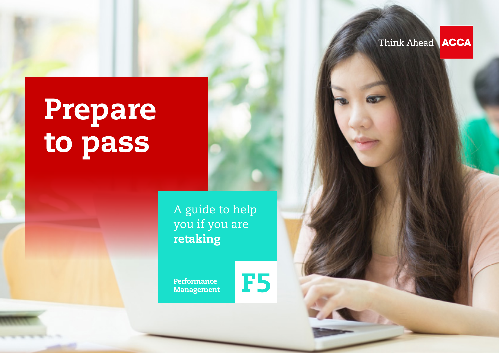Think Ahead **ACCA** 

# Prepare to pass

A guide to help you if you are retaking

Management

Performance<br>Management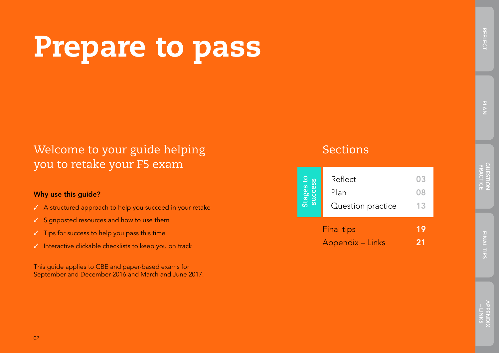# Prepare to pass

## Welcome to your guide helping you to retake your F5 exam

#### Why use this guide?

- ✓ A structured approach to help you succeed in your retake
- ✓ Signposted resources and how to use them
- ✓ Tips for success to help you pass this time
- ✓ Interactive clickable checklists to keep you on track

This guide applies to CBE and paper-based exams for September and December 2016 and March and June 2017.

## Sections

|    | <b>Final tips</b><br><b>Appendix - Links</b> | 19 |
|----|----------------------------------------------|----|
| ັສ | Question practice                            | 13 |
|    | Plan                                         | 08 |
|    | Reflect                                      | 03 |
|    |                                              |    |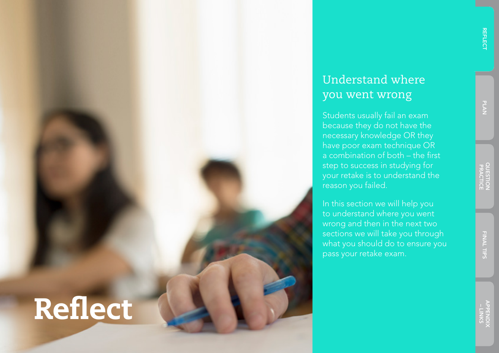## Understand where you went wrong

Students usually fail an exam because they do not have the necessary knowledge OR they have poor exam technique OR a combination of both – the first step to success in studying for your retake is to understand the reason you failed.

In this section we will help you to understand where you went wrong and then in the next two sections we will take you through what you should do to ensure you pass your retake exam.

# Reflect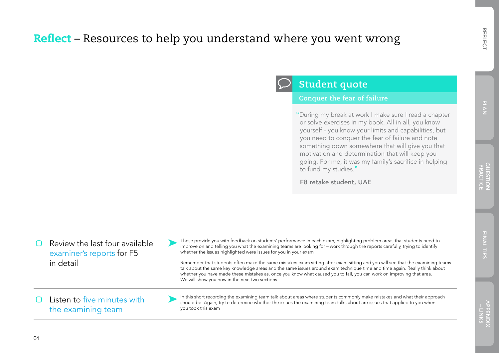## Reflect – Resources to help you understand where you went wrong

 Review the last four available [examiner's reports](http://www.accaglobal.com/gb/en/student/exam-support-resources/fundamentals-exams-study-resources/f5/examiners-reports.html) for F5 in detail Listen to [five minutes with](http://www.accaglobal.com/gb/en/student/exam-support-resources/fundamentals-exams-study-resources/f5/examiners-reports.html)  [the examining team](http://www.accaglobal.com/gb/en/student/exam-support-resources/fundamentals-exams-study-resources/f5/examiners-reports.html)

These provide you with feedback on students' performance in each exam, highlighting problem areas that students need to<br>improve on and telling you what the examining teams are looking for – work through the reports careful whether the issues highlighted were issues for you in your exam

**Student quote**

to fund my studies."

F8 retake student, UAE

**Conquer the fear of failure**

"During my break at work I make sure I read a chapter or solve exercises in my book. All in all, you know yourself - you know your limits and capabilities, but you need to conquer the fear of failure and note something down somewhere that will give you that motivation and determination that will keep you going. For me, it was my family's sacrifice in helping

Remember that students often make the same mistakes exam sitting after exam sitting and you will see that the examining teams talk about the same key knowledge areas and the same issues around exam technique time and time again. Really think about whether you have made these mistakes as, once you know what caused you to fail, you can work on improving that area. We will show you how in the next two sections

In this short recording the examining team talk about areas where students commonly make mistakes and what their approach<br>should be. Again, try to determine whether the issues the examining team talks about are issues that you took this exam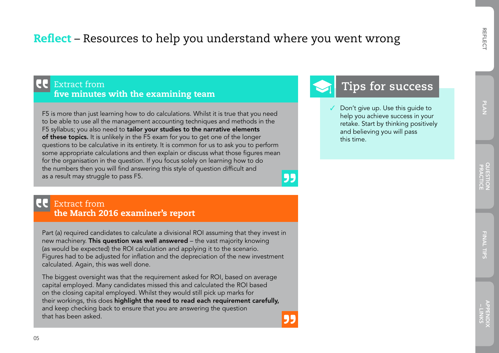## PLAN

### Reflect – Resources to help you understand where you went wrong

#### **CC** Extract from five minutes with the examining team

F5 is more than just learning how to do calculations. Whilst it is true that you need to be able to use all the management accounting techniques and methods in the F5 syllabus; you also need to tailor your studies to the narrative elements of these topics. It is unlikely in the F5 exam for you to get one of the longer questions to be calculative in its entirety. It is common for us to ask you to perform some appropriate calculations and then explain or discuss what those figures mean for the organisation in the question. If you focus solely on learning how to do the numbers then you will find answering this style of question difficult and as a result may struggle to pass F5.

#### 95

#### Extract from the March 2016 examiner's report

Part (a) required candidates to calculate a divisional ROI assuming that they invest in new machinery. This question was well answered – the vast majority knowing (as would be expected) the ROI calculation and applying it to the scenario. Figures had to be adjusted for inflation and the depreciation of the new investment calculated. Again, this was well done.

The biggest oversight was that the requirement asked for ROI, based on average capital employed. Many candidates missed this and calculated the ROI based on the closing capital employed. Whilst they would still pick up marks for their workings, this does highlight the need to read each requirement carefully, and keep checking back to ensure that you are answering the question that has been asked.



## **Tips for success**

Don't give up. Use this quide to help you achieve success in your retake. Start by thinking positively and believing you will pass this time.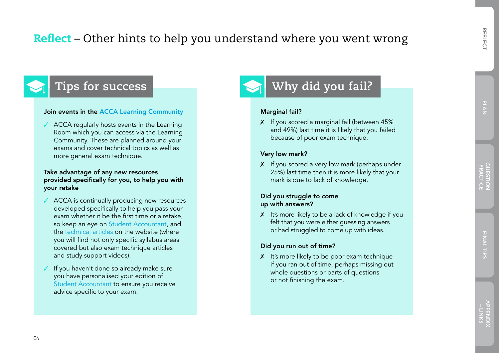## Reflect – Other hints to help you understand where you went wrong

## **Tips for success**

#### Join events in the [ACCA Learning Community](https://learningcommunity.accaglobal.com)

 $\sqrt{\phantom{a}}$  ACCA regularly hosts events in the Learning Room which you can access via the Learning Community. These are planned around your exams and cover technical topics as well as more general exam technique.

#### Take advantage of any new resources provided specifically for you, to help you with your retake

- ✓ ACCA is continually producing new resources developed specifically to help you pass your exam whether it be the first time or a retake, so keep an eye on [Student Accountant](http://www.accaglobal.com/gb/en/student/sa.html), and the [technical articles](http://www.accaglobal.com/gb/en/student/exam-support-resources/fundamentals-exams-study-resources/f5/technical-articles.html) on the website (where you will find not only specific syllabus areas covered but also exam technique articles and study support videos).
- ✓ If you haven't done so already make sure you have personalised your edition of [Student Accountant](http://www.accaglobal.com/gb/en/student/sa.html) to ensure you receive advice specific to your exam.

## **Why did you fail?**

#### Marginal fail?

 $X$  If you scored a marginal fail (between 45%) and 49%) last time it is likely that you failed because of poor exam technique.

#### Very low mark?

 $\boldsymbol{X}$  If you scored a very low mark (perhaps under 25%) last time then it is more likely that your mark is due to lack of knowledge.

#### Did you struggle to come up with answers?

 $x$  It's more likely to be a lack of knowledge if you felt that you were either guessing answers or had struggled to come up with ideas.

#### Did you run out of time?

 $\chi$  It's more likely to be poor exam technique if you ran out of time, perhaps missing out whole questions or parts of questions or not finishing the exam.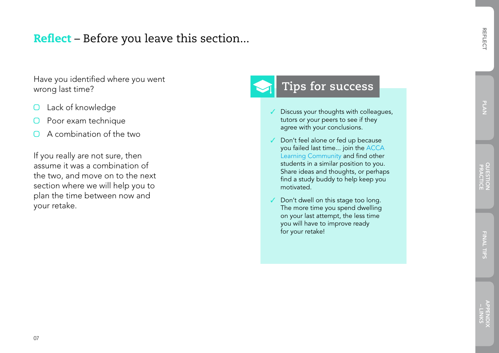### Reflect – Before you leave this section...

Have you identified where you went<br>
World and **Tips for success** wrong last time?

- Lack of knowledge  $\Box$
- Poor exam technique  $\bigcirc$
- $\Omega$  A combination of the two

If you really are not sure, then assume it was a combination of the two, and move on to the next section where we will help you to plan the time between now and your retake.

- Discuss your thoughts with colleagues, tutors or your peers to see if they agree with your conclusions.
- Don't feel alone or fed up because you failed last time... join the [ACCA](https://learningcommunity.accaglobal.com)  [Learning Community](https://learningcommunity.accaglobal.com) and find other students in a similar position to you. Share ideas and thoughts, or perhaps find a study buddy to help keep you motivated.
- Don't dwell on this stage too long. The more time you spend dwelling on your last attempt, the less time you will have to improve ready for your retake!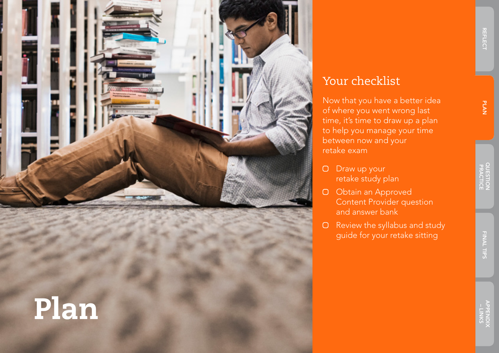

# Plan

## Your checklist

Now that you have a better idea of where you went wrong last time, it's time to draw up a plan to help you manage your time between now and your retake exam

- O Draw up your retake study plan
- O Obtain an Approved Content Provider question and answer bank
- O Review the syllabus and study guide for your retake sitting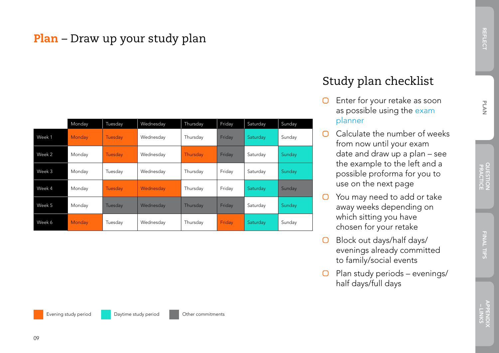## Plan – Draw up your study plan

|        | Monday | Tuesday | Wednesday | Thursday | Friday | Saturday | Sunday |
|--------|--------|---------|-----------|----------|--------|----------|--------|
| Week 1 | Monday | Tuesday | Wednesday | Thursday | Friday | Saturday | Sunday |
| Week 2 | Monday | Tuesday | Wednesday | Thursday | Friday | Saturday | Sunday |
| Week 3 | Monday | Tuesday | Wednesday | Thursday | Friday | Saturday | Sunday |
| Week 4 | Monday | Tuesday | Wednesday | Thursday | Friday | Saturday | Sunday |
| Week 5 | Monday | Tuesday | Wednesday | Thursday | Friday | Saturday | Sunday |
| Week 6 | Monday | Tuesday | Wednesday | Thursday | Friday | Saturday | Sunday |

## Study plan checklist

- $\Box$  Enter for your retake as soon as possible using the [exam](http://www.accaglobal.com/gb/en/student/exam-entry-and-administration/enter-an-exam/exam-planner.html)  [planner](http://www.accaglobal.com/gb/en/student/exam-entry-and-administration/enter-an-exam/exam-planner.html)
- $\Box$  Calculate the number of weeks from now until your exam date and draw up a plan – see the example to the left and a possible proforma for you to use on the next page
- $\bigcirc$  You may need to add or take away weeks depending on which sitting you have chosen for your retake
- O Block out days/half days/ evenings already committed to family/social events
- $\Box$  Plan study periods evenings/ half days/full days

- LINKS<br>APPENDIX

REFLECT

**REFLECT**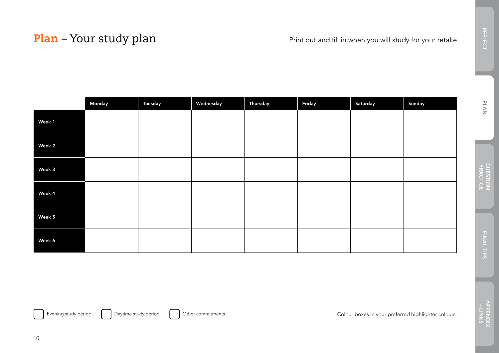## Plan – Your study plan Print out and fill in when you will study for your retake

|        | Monday | Tuesday | Wednesday | Thursday | Friday | Saturday | Sunday |
|--------|--------|---------|-----------|----------|--------|----------|--------|
| Week 1 |        |         |           |          |        |          |        |
| Week 2 |        |         |           |          |        |          |        |
| Week 3 |        |         |           |          |        |          |        |
| Week 4 |        |         |           |          |        |          |        |
| Week 5 |        |         |           |          |        |          |        |
| Week 6 |        |         |           |          |        |          |        |

### 10

Evening study period **Daytime study period** Other commitments Colour boxes in your preferred highlighter colours.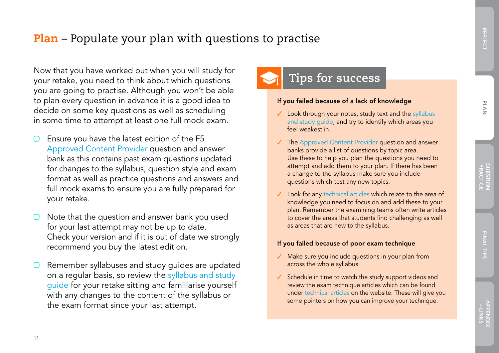## **Plan** – Populate your plan with questions to practise

Now that you have worked out when you will study for **the success of the success** you are going to practise. Although you won't be able to plan every question in advance it is a good idea to decide on some key questions as well as scheduling in some time to attempt at least one full mock exam.

- Ensure you have the latest edition of the F5 [Approved Content Provider](http://www.accaglobal.com/gb/en/student/your-study-options/alp-content.html) question and answer bank as this contains past exam questions updated for changes to the syllabus, question style and exam format as well as practice questions and answers and full mock exams to ensure you are fully prepared for your retake.
- Note that the question and answer bank you used for your last attempt may not be up to date. Check your version and if it is out of date we strongly recommend you buy the latest edition.
- Remember syllabuses and study guides are updated on a regular basis, so review the [syllabus and study](http://www.accaglobal.com/gb/en/student/exam-support-resources/fundamentals-exams-study-resources/f5/syllabus-study-guide.html)  [guide](http://www.accaglobal.com/gb/en/student/exam-support-resources/fundamentals-exams-study-resources/f5/syllabus-study-guide.html) for your retake sitting and familiarise yourself with any changes to the content of the syllabus or the exam format since your last attempt.

v

#### If you failed because of a lack of knowledge

- ✓ Look through your notes, study text and the [syllabus](http://www.accaglobal.com/gb/en/student/exam-support-resources/fundamentals-exams-study-resources/f5/syllabus-study-guide.html)  [and study guide,](http://www.accaglobal.com/gb/en/student/exam-support-resources/fundamentals-exams-study-resources/f5/syllabus-study-guide.html) and try to identify which areas you feel weakest in.
- ✓ The [Approved Content Provider](http://www.accaglobal.com/gb/en/student/your-study-options/alp-content.html) question and answer banks provide a list of questions by topic area. Use these to help you plan the questions you need to attempt and add them to your plan. If there has been a change to the syllabus make sure you include questions which test any new topics.
- ✓ Look for any [technical articles](http://www.accaglobal.com/gb/en/student/exam-support-resources/fundamentals-exams-study-resources/f5/technical-articles.html) which relate to the area of knowledge you need to focus on and add these to your plan. Remember the examining teams often write articles to cover the areas that students find challenging as well as areas that are new to the syllabus.

#### If you failed because of poor exam technique

- ✓ Make sure you include questions in your plan from across the whole syllabus.
- ✓ Schedule in time to watch the study support videos and review the exam technique articles which can be found under [technical articles](http://www.accaglobal.com/gb/en/student/exam-support-resources/fundamentals-exams-study-resources/f5/technical-articles.html) on the website. These will give you some pointers on how you can improve your technique.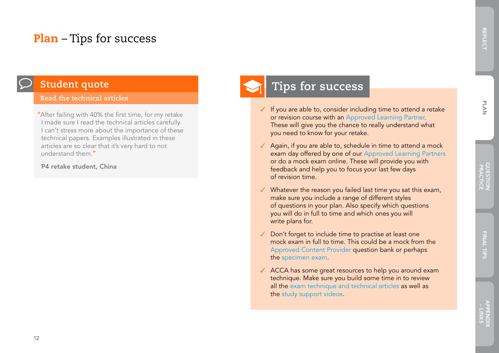## Plan – Tips for success



## **Student quote**

#### **Read the technical articles**

"After failing with 40% the first time, for my retake I made sure I read the technical articles carefully. I can't stress more about the importance of these technical papers. Examples illustrated in these articles are so clear that it's very hard to not understand them "

#### P4 retake student, China

## **Tips for success**

- ✓ If you are able to, consider including time to attend a retake or revision course with an [Approved Learning Partner](http://www.accaglobal.com/gb/en/student/your-study-options/learning-providers.html). These will give you the chance to really understand what you need to know for your retake.
- ✓ Again, if you are able to, schedule in time to attend a mock exam day offered by one of our [Approved Learning Partners](http://www.accaglobal.com/gb/en/student/your-study-options/learning-providers.html) or do a mock exam online. These will provide you with feedback and help you to focus your last few days of revision time.
- ✓ Whatever the reason you failed last time you sat this exam, make sure you include a range of different styles of questions in your plan. Also specify which questions you will do in full to time and which ones you will write plans for.
- ✓ Don't forget to include time to practise at least one mock exam in full to time. This could be a mock from the [Approved Content Provider](http://www.accaglobal.com/gb/en/student/your-study-options/alp-content.html) question bank or perhaps the [specimen exam.](http://www.accaglobal.com/gb/en/student/exam-support-resources/fundamentals-exams-study-resources/f5/specimen-exams.html)
- ✓ ACCA has some great resources to help you around exam technique. Make sure you build some time in to review all the [exam technique and technical articles](http://www.accaglobal.com/gb/en/student/exam-support-resources/fundamentals-exams-study-resources/f5/technical-articles.html) as well as the [study support videos.](http://www.accaglobal.com/gb/en/student/exam-support-resources/fundamentals-exams-study-resources/f5/technical-articles.html)

REFLECT

**REFLECT**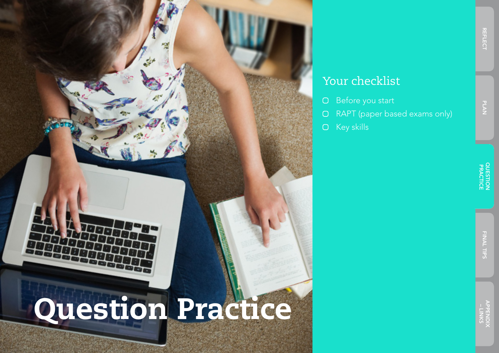

## Your checklist

- Before you start  $\bigcirc$
- RAPT (paper based exams only)  $\bigcirc$
- Key skills  $\bigcirc$

REFLECT

PLAN

REFLEC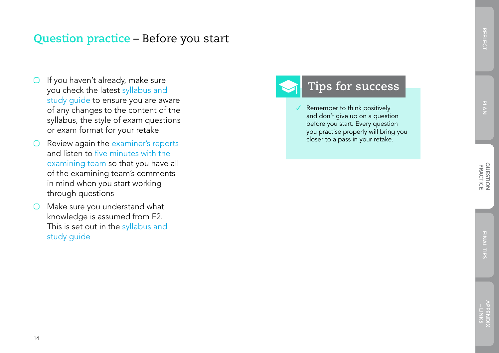APPENDIX<br>- LINKS

- $\Box$  If you haven't already, make sure you check the latest [syllabus and](http://www.accaglobal.com/gb/en/student/exam-support-resources/fundamentals-exams-study-resources/f5/syllabus-study-guide.html)  [study guide](http://www.accaglobal.com/gb/en/student/exam-support-resources/fundamentals-exams-study-resources/f5/syllabus-study-guide.html) to ensure you are aware of any changes to the content of the syllabus, the style of exam questions or exam format for your retake
- Review again the [examiner's reports](http://www.accaglobal.com/gb/en/student/exam-support-resources/fundamentals-exams-study-resources/f5/examiners-reports.html)  $\bigcirc$ and listen to [five minutes with the](http://www.accaglobal.com/gb/en/student/exam-support-resources/fundamentals-exams-study-resources/f5/examiners-reports.html)  [examining team](http://www.accaglobal.com/gb/en/student/exam-support-resources/fundamentals-exams-study-resources/f5/examiners-reports.html) so that you have all of the examining team's comments in mind when you start working through questions
- O Make sure you understand what knowledge is assumed from F2. This is set out in the syllabus and [study guide](http://www.accaglobal.com/gb/en/student/exam-support-resources/fundamentals-exams-study-resources/f5/syllabus-study-guide.html)

## **Tips for success**

Remember to think positively and don't give up on a question before you start. Every question you practise properly will bring you closer to a pass in your retake.

14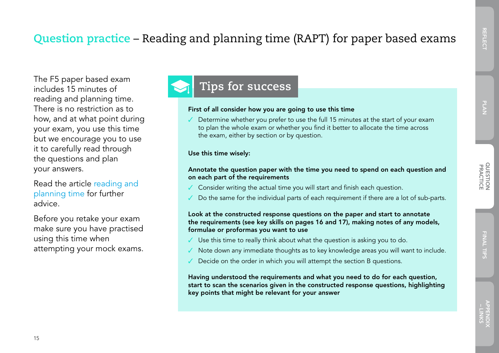APPENDIX<br>- LINKS

The F5 paper based exam<br>
includes 15 minutes of **Tips for success** includes 15 minutes of reading and planning time. There is no restriction as to how, and at what point during your exam, you use this time but we encourage you to use it to carefully read through the questions and plan your answers.

Read the article [reading and](http://www.accaglobal.com/gb/en/student/sa/study-skills/rapt-2016.html)  [planning time](http://www.accaglobal.com/gb/en/student/sa/study-skills/rapt-2016.html) for further advice.

Before you retake your exam make sure you have practised using this time when attempting your mock exams.

#### First of all consider how you are going to use this time

Determine whether you prefer to use the full 15 minutes at the start of your exam to plan the whole exam or whether you find it better to allocate the time across the exam, either by section or by question.

#### Use this time wisely:

#### Annotate the question paper with the time you need to spend on each question and on each part of the requirements

- Consider writing the actual time you will start and finish each question.
- Do the same for the individual parts of each requirement if there are a lot of sub-parts.

#### Look at the constructed response questions on the paper and start to annotate the requirements (see key skills on pages 16 and 17), making notes of any models, formulae or proformas you want to use

- $\checkmark$  Use this time to really think about what the question is asking you to do.
- Note down any immediate thoughts as to key knowledge areas you will want to include.
- Decide on the order in which you will attempt the section B questions.

Having understood the requirements and what you need to do for each question, start to scan the scenarios given in the constructed response questions, highlighting key points that might be relevant for your answer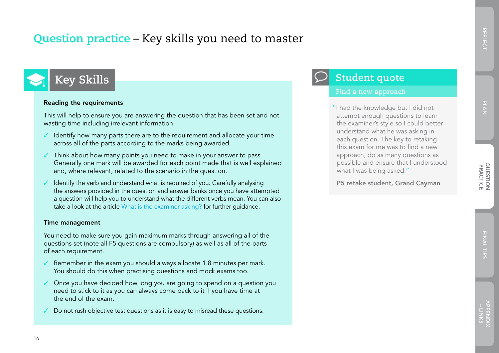## PLAN

## **Key Skills**

#### Reading the requirements

This will help to ensure you are answering the question that has been set and not wasting time including irrelevant information.

- $\checkmark$  Identify how many parts there are to the requirement and allocate your time across all of the parts according to the marks being awarded.
- $\checkmark$  Think about how many points you need to make in your answer to pass. Generally one mark will be awarded for each point made that is well explained and, where relevant, related to the scenario in the question.
- ✓ Identify the verb and understand what is required of you. Carefully analysing the answers provided in the question and answer banks once you have attempted a question will help you to understand what the different verbs mean. You can also take a look at the article [What is the examiner asking?](http://www.accaglobal.com/gb/en/student/sa/study-skills/questions.html) for further guidance.

#### Time management

You need to make sure you gain maximum marks through answering all of the questions set (note all F5 questions are compulsory) as well as all of the parts of each requirement.

- Remember in the exam you should always allocate 1.8 minutes per mark. You should do this when practising questions and mock exams too.
- ✓ Once you have decided how long you are going to spend on a question you need to stick to it as you can always come back to it if you have time at the end of the exam.
- Do not rush objective test questions as it is easy to misread these questions.

### **Student quote**

#### **Find a new approach**

"I had the knowledge but I did not attempt enough questions to learn the examiner's style so I could better understand what he was asking in each question. The key to retaking this exam for me was to find a new approach, do as many questions as possible and ensure that I understood what I was being asked."

P5 retake student, Grand Cayman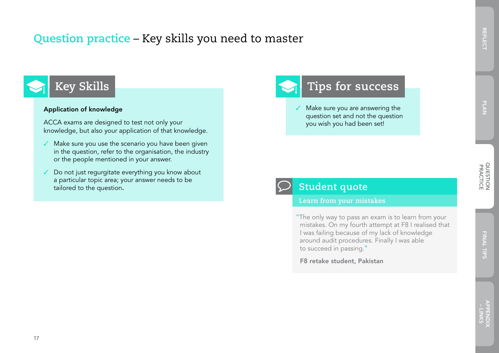## **Question practice** – Key skills you need to master

# **Key Skills**

#### Application of knowledge

ACCA exams are designed to test not only your knowledge, but also your application of that knowledge.

- ✓ Make sure you use the scenario you have been given in the question, refer to the organisation, the industry or the people mentioned in your answer.
- ✓ Do not just regurgitate everything you know about a particular topic area; your answer needs to be tailored to the question.

## **Tips for success**

✓ Make sure you are answering the question set and not the question you wish you had been set!



### **Student quote**

**Learn from your mistakes**

"The only way to pass an exam is to learn from your mistakes. On my fourth attempt at F8 I realised that I was failing because of my lack of knowledge around audit procedures. Finally I was able to succeed in passing."

F8 retake student, Pakistan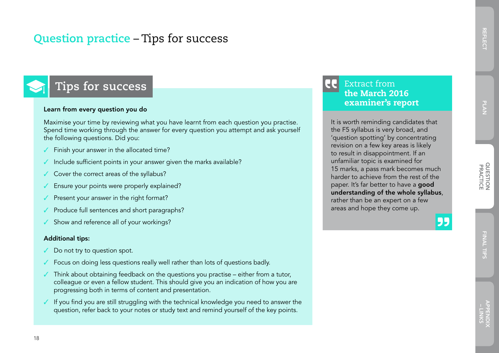## **Question practice** – Tips for success

## **Tips for success**

#### Learn from every question you do

Maximise your time by reviewing what you have learnt from each question you practise. Spend time working through the answer for every question you attempt and ask yourself the following questions. Did you:

- Finish your answer in the allocated time?
- Include sufficient points in your answer given the marks available?
- Cover the correct areas of the syllabus?
- Ensure your points were properly explained?
- Present your answer in the right format?
- Produce full sentences and short paragraphs?
- ✓ Show and reference all of your workings?

#### Additional tips:

- ✓ Do not try to question spot.
- Focus on doing less questions really well rather than lots of questions badly.
- $\checkmark$  Think about obtaining feedback on the questions you practise either from a tutor, colleague or even a fellow student. This should give you an indication of how you are progressing both in terms of content and presentation.
- If you find you are still struggling with the technical knowledge you need to answer the question, refer back to your notes or study text and remind yourself of the key points.

#### 18

#### **LE** Extract from the March 2016 examiner's report

It is worth reminding candidates that the F5 syllabus is very broad, and 'question spotting' by concentrating revision on a few key areas is likely to result in disappointment. If an unfamiliar topic is examined for 15 marks, a pass mark becomes much harder to achieve from the rest of the paper. It's far better to have a good understanding of the whole syllabus, rather than be an expert on a few areas and hope they come up.

55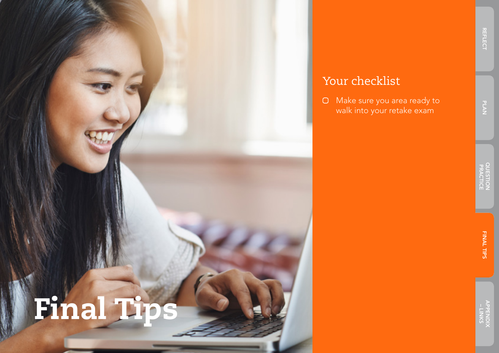

## Your checklist

 Make sure you area ready to walk into your retake exam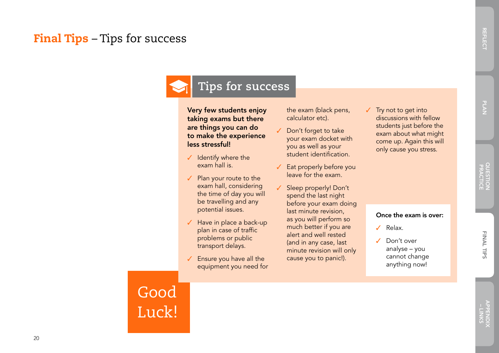## Final Tips – Tips for success

## **Tips for success**

#### Very few students enjoy taking exams but there are things you can do to make the experience less stressful!

- ✓ Identify where the exam hall is.
- ✓ Plan your route to the exam hall, considering the time of day you will be travelling and any potential issues.
- ✓ Have in place a back-up plan in case of traffic problems or public transport delays.
- ✓ Ensure you have all the equipment you need for

the exam (black pens, calculator etc).

- Don't forget to take your exam docket with you as well as your student identification.
- Eat properly before you leave for the exam.
- Sleep properly! Don't spend the last night before your exam doing last minute revision, as you will perform so much better if you are alert and well rested (and in any case, last minute revision will only cause you to panic!).
- ✓ Try not to get into discussions with fellow students just before the exam about what might come up. Again this will only cause you stress.

#### Once the exam is over:

- ✓ Relax.
- ✓ Don't over analyse – you cannot change

anything now!

Good Luck! REFLECT

**REFLECT**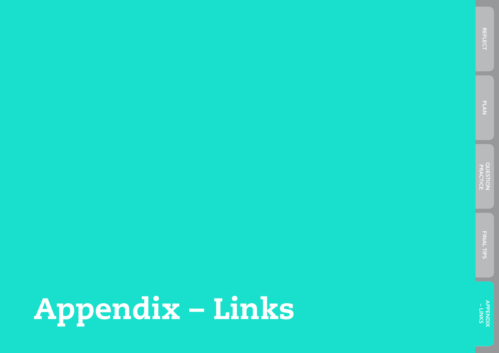# Appendix – Links

APPENDIX – LINKS

FINAL TIPS FINAL TIPS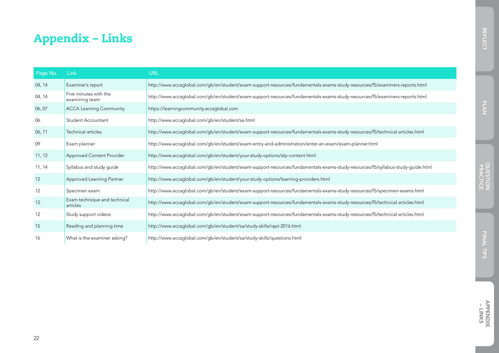## Appendix – Links

| Page No. | Link                                     | URL                                                                                                                            |
|----------|------------------------------------------|--------------------------------------------------------------------------------------------------------------------------------|
| 04, 14   | Examiner's report                        | http://www.accaglobal.com/gb/en/student/exam-support-resources/fundamentals-exams-study-resources/f5/examiners-reports.html    |
| 04, 14   | Five minutes with the<br>examining team  | http://www.accaglobal.com/gb/en/student/exam-support-resources/fundamentals-exams-study-resources/f5/examiners-reports.html    |
| 06, 07   | <b>ACCA Learning Community</b>           | https://learningcommunity.accaglobal.com                                                                                       |
| 06       | Student Accountant                       | http://www.accaglobal.com/gb/en/student/sa.html                                                                                |
| 06, 11   | Technical articles                       | http://www.accaglobal.com/gb/en/student/exam-support-resources/fundamentals-exams-study-resources/f5/technical-articles.html   |
| 09       | Exam planner                             | http://www.accaglobal.com/gb/en/student/exam-entry-and-administration/enter-an-exam/exam-planner.html                          |
| 11, 12   | Approved Content Provider                | http://www.accaglobal.com/gb/en/student/your-study-options/alp-content.html                                                    |
| 11, 14   | Syllabus and study guide                 | http://www.accaglobal.com/gb/en/student/exam-support-resources/fundamentals-exams-study-resources/f5/syllabus-study-guide.html |
| 12       | Approved Learning Partner                | http://www.accaglobal.com/gb/en/student/your-study-options/learning-providers.html                                             |
| 12       | Specimen exam                            | http://www.accaglobal.com/gb/en/student/exam-support-resources/fundamentals-exams-study-resources/f5/specimen-exams.html       |
| 12       | Exam technique and technical<br>articles | http://www.accaglobal.com/gb/en/student/exam-support-resources/fundamentals-exams-study-resources/f5/technical-articles.html   |
| 12       | Study support videos                     | http://www.accaglobal.com/gb/en/student/exam-support-resources/fundamentals-exams-study-resources/f5/technical-articles.html   |
| 15       | Reading and planning time                | http://www.accaglobal.com/gb/en/student/sa/study-skills/rapt-2016.html                                                         |
| 16       | What is the examiner asking?             | http://www.accaglobal.com/gb/en/student/sa/study-skills/questions.html                                                         |